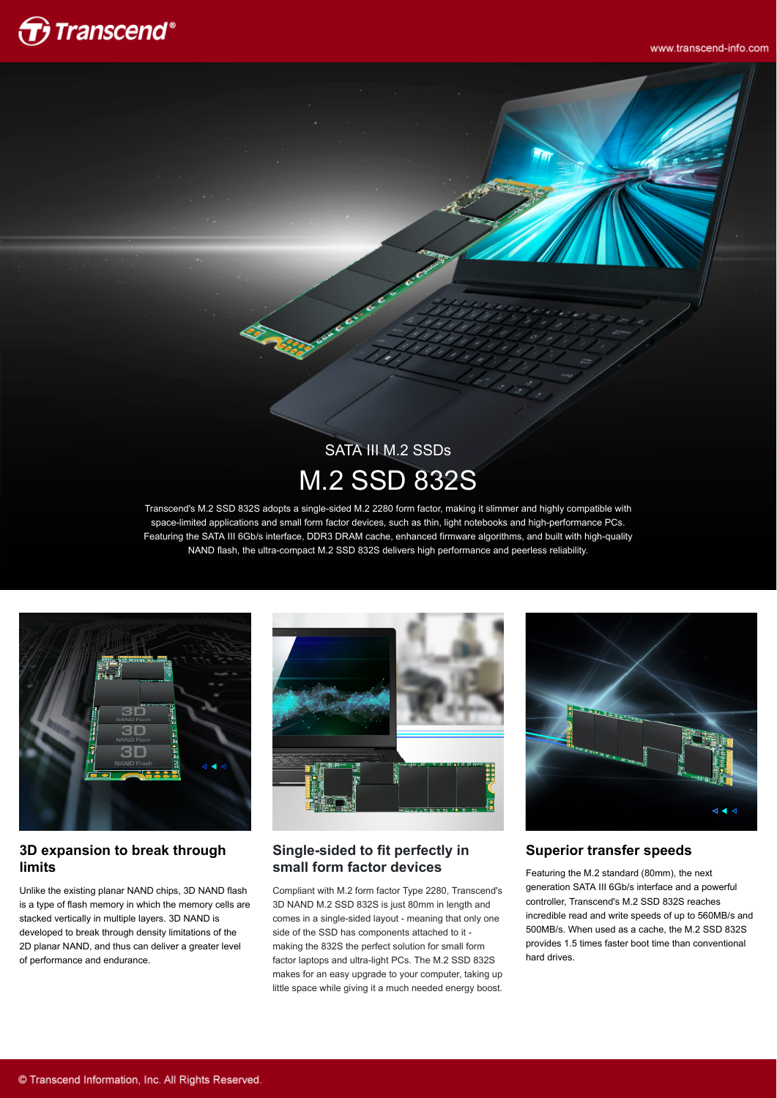

www.transcend-info.com

# SATA III M.2 SSDs M.2 SSD 832S

Transcend's M.2 SSD 832S adopts a single-sided M.2 2280 form factor, making it slimmer and highly compatible with space-limited applications and small form factor devices, such as thin, light notebooks and high-performance PCs. Featuring the SATA III 6Gb/s interface, DDR3 DRAM cache, enhanced firmware algorithms, and built with high-quality NAND flash, the ultra-compact M.2 SSD 832S delivers high performance and peerless reliability.



#### **3D expansion to break through limits**

Unlike the existing planar NAND chips, 3D NAND flash is a type of flash memory in which the memory cells are stacked vertically in multiple layers. 3D NAND is developed to break through density limitations of the 2D planar NAND, and thus can deliver a greater level of performance and endurance.



### **Single-sided to fit perfectly in small form factor devices**

Compliant with M.2 form factor Type 2280, Transcend's 3D NAND M.2 SSD 832S is just 80mm in length and comes in a single-sided layout - meaning that only one side of the SSD has components attached to it making the 832S the perfect solution for small form factor laptops and ultra-light PCs. The M.2 SSD 832S makes for an easy upgrade to your computer, taking up little space while giving it a much needed energy boost.



**Superior transfer speeds**

Featuring the M.2 standard (80mm), the next generation SATA III 6Gb/s interface and a powerful controller, Transcend's M.2 SSD 832S reaches incredible read and write speeds of up to 560MB/s and 500MB/s. When used as a cache, the M.2 SSD 832S provides 1.5 times faster boot time than conventional hard drives.